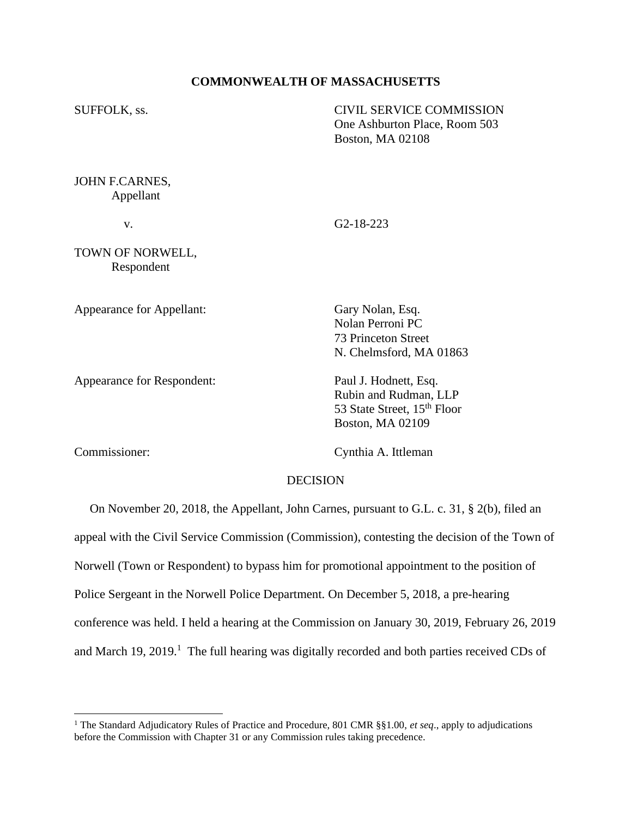## **COMMONWEALTH OF MASSACHUSETTS**

| SUFFOLK, ss.                   | CIVIL SERVICE COMMISSION<br>One Ashburton Place, Room 503<br><b>Boston, MA 02108</b> |
|--------------------------------|--------------------------------------------------------------------------------------|
| JOHN F.CARNES,<br>Appellant    |                                                                                      |
| V.                             | $G2-18-223$                                                                          |
| TOWN OF NORWELL,<br>Respondent |                                                                                      |
| Appearance for Appellant:      | Gary Nolan, Esq.                                                                     |

Appearance for Respondent: Paul J. Hodnett, Esq.

Commissioner: Cynthia A. Ittleman

Boston, MA 02109

Nolan Perroni PC 73 Princeton Street

N. Chelmsford, MA 01863

Rubin and Rudman, LLP 53 State Street, 15<sup>th</sup> Floor

## DECISION

 On November 20, 2018, the Appellant, John Carnes, pursuant to G.L. c. 31, § 2(b), filed an appeal with the Civil Service Commission (Commission), contesting the decision of the Town of Norwell (Town or Respondent) to bypass him for promotional appointment to the position of Police Sergeant in the Norwell Police Department. On December 5, 2018, a pre-hearing conference was held. I held a hearing at the Commission on January 30, 2019, February 26, 2019 and March 19, 2019.<sup>1</sup> The full hearing was digitally recorded and both parties received CDs of

<sup>&</sup>lt;sup>1</sup> The Standard Adjudicatory Rules of Practice and Procedure, 801 CMR §§1.00, *et seq.*, apply to adjudications before the Commission with Chapter 31 or any Commission rules taking precedence.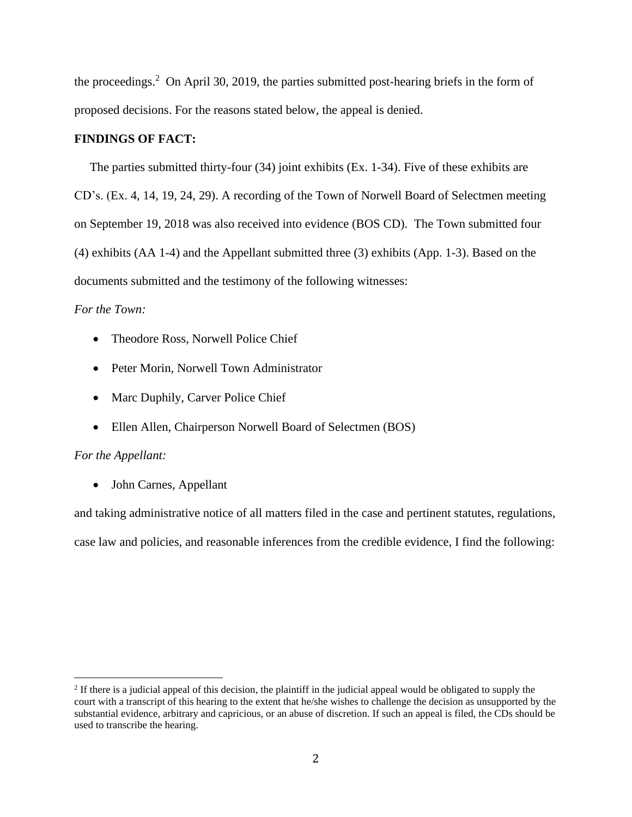the proceedings. 2 On April 30, 2019, the parties submitted post-hearing briefs in the form of proposed decisions. For the reasons stated below, the appeal is denied.

### **FINDINGS OF FACT:**

The parties submitted thirty-four (34) joint exhibits (Ex. 1-34). Five of these exhibits are CD's. (Ex. 4, 14, 19, 24, 29). A recording of the Town of Norwell Board of Selectmen meeting on September 19, 2018 was also received into evidence (BOS CD). The Town submitted four (4) exhibits (AA 1-4) and the Appellant submitted three (3) exhibits (App. 1-3). Based on the documents submitted and the testimony of the following witnesses:

## *For the Town:*

- Theodore Ross, Norwell Police Chief
- Peter Morin, Norwell Town Administrator
- Marc Duphily, Carver Police Chief
- Ellen Allen, Chairperson Norwell Board of Selectmen (BOS)

## *For the Appellant:*

• John Carnes, Appellant

and taking administrative notice of all matters filed in the case and pertinent statutes, regulations, case law and policies, and reasonable inferences from the credible evidence, I find the following:

 $2$  If there is a judicial appeal of this decision, the plaintiff in the judicial appeal would be obligated to supply the court with a transcript of this hearing to the extent that he/she wishes to challenge the decision as unsupported by the substantial evidence, arbitrary and capricious, or an abuse of discretion. If such an appeal is filed, the CDs should be used to transcribe the hearing.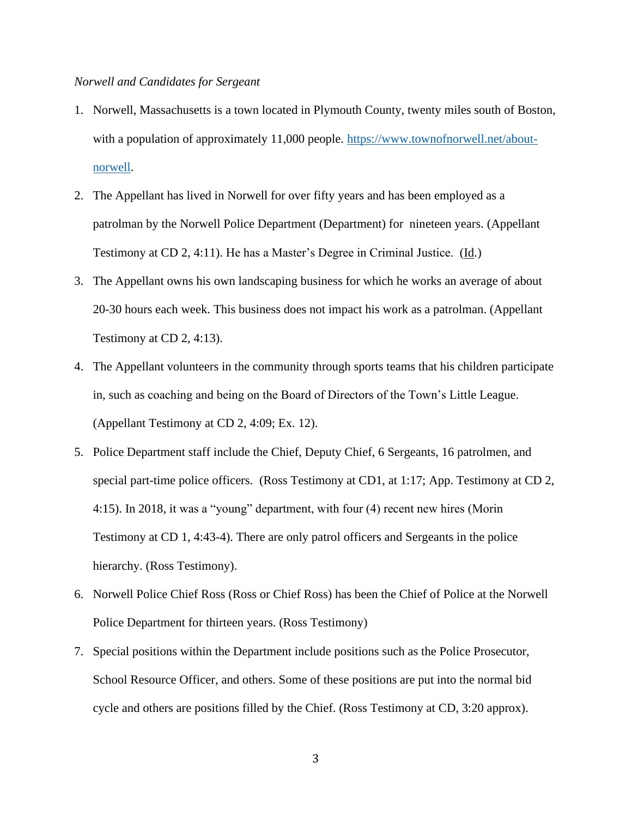# *Norwell and Candidates for Sergeant*

- 1. Norwell, Massachusetts is a town located in Plymouth County, twenty miles south of Boston, with a population of approximately 11,000 people. [https://www.townofnorwell.net/about](https://www.townofnorwell.net/about-norwell)[norwell.](https://www.townofnorwell.net/about-norwell)
- 2. The Appellant has lived in Norwell for over fifty years and has been employed as a patrolman by the Norwell Police Department (Department) for nineteen years. (Appellant Testimony at CD 2, 4:11). He has a Master's Degree in Criminal Justice. (Id.)
- 3. The Appellant owns his own landscaping business for which he works an average of about 20-30 hours each week. This business does not impact his work as a patrolman. (Appellant Testimony at CD 2, 4:13).
- 4. The Appellant volunteers in the community through sports teams that his children participate in, such as coaching and being on the Board of Directors of the Town's Little League. (Appellant Testimony at CD 2, 4:09; Ex. 12).
- 5. Police Department staff include the Chief, Deputy Chief, 6 Sergeants, 16 patrolmen, and special part-time police officers. (Ross Testimony at CD1, at 1:17; App. Testimony at CD 2, 4:15). In 2018, it was a "young" department, with four (4) recent new hires (Morin Testimony at CD 1, 4:43-4). There are only patrol officers and Sergeants in the police hierarchy. (Ross Testimony).
- 6. Norwell Police Chief Ross (Ross or Chief Ross) has been the Chief of Police at the Norwell Police Department for thirteen years. (Ross Testimony)
- 7. Special positions within the Department include positions such as the Police Prosecutor, School Resource Officer, and others. Some of these positions are put into the normal bid cycle and others are positions filled by the Chief. (Ross Testimony at CD, 3:20 approx).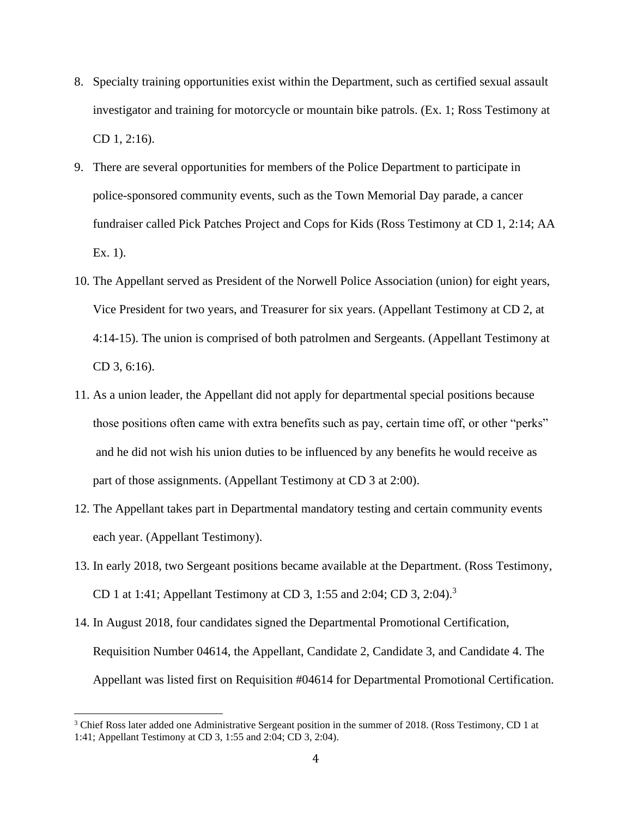- 8. Specialty training opportunities exist within the Department, such as certified sexual assault investigator and training for motorcycle or mountain bike patrols. (Ex. 1; Ross Testimony at CD 1, 2:16).
- 9. There are several opportunities for members of the Police Department to participate in police-sponsored community events, such as the Town Memorial Day parade, a cancer fundraiser called Pick Patches Project and Cops for Kids (Ross Testimony at CD 1, 2:14; AA Ex. 1).
- 10. The Appellant served as President of the Norwell Police Association (union) for eight years, Vice President for two years, and Treasurer for six years. (Appellant Testimony at CD 2, at 4:14-15). The union is comprised of both patrolmen and Sergeants. (Appellant Testimony at CD 3, 6:16).
- 11. As a union leader, the Appellant did not apply for departmental special positions because those positions often came with extra benefits such as pay, certain time off, or other "perks" and he did not wish his union duties to be influenced by any benefits he would receive as part of those assignments. (Appellant Testimony at CD 3 at 2:00).
- 12. The Appellant takes part in Departmental mandatory testing and certain community events each year. (Appellant Testimony).
- 13. In early 2018, two Sergeant positions became available at the Department. (Ross Testimony, CD 1 at 1:41; Appellant Testimony at CD 3, 1:55 and 2:04; CD 3, 2:04).<sup>3</sup>
- 14. In August 2018, four candidates signed the Departmental Promotional Certification, Requisition Number 04614, the Appellant, Candidate 2, Candidate 3, and Candidate 4. The Appellant was listed first on Requisition #04614 for Departmental Promotional Certification.

<sup>&</sup>lt;sup>3</sup> Chief Ross later added one Administrative Sergeant position in the summer of 2018. (Ross Testimony, CD 1 at 1:41; Appellant Testimony at CD 3, 1:55 and 2:04; CD 3, 2:04).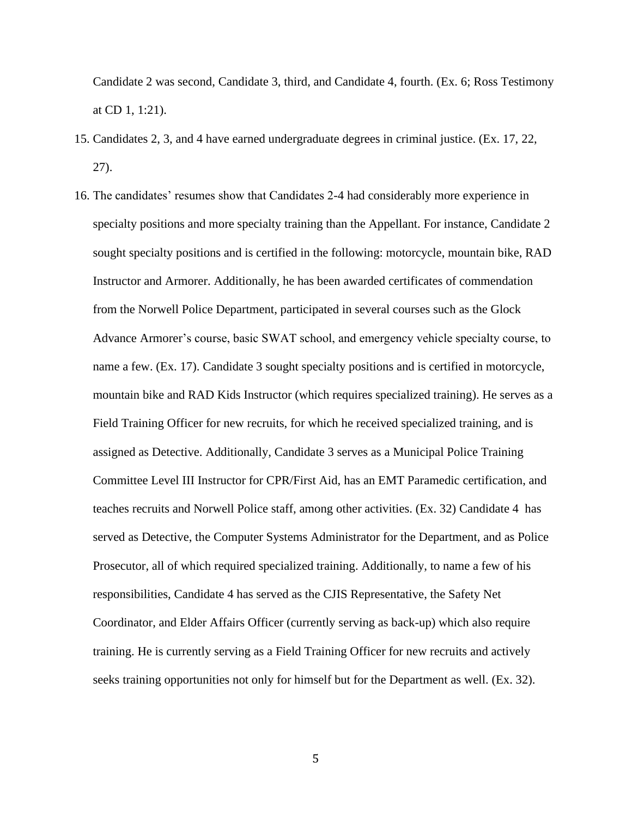Candidate 2 was second, Candidate 3, third, and Candidate 4, fourth. (Ex. 6; Ross Testimony at CD 1, 1:21).

- 15. Candidates 2, 3, and 4 have earned undergraduate degrees in criminal justice. (Ex. 17, 22, 27).
- 16. The candidates' resumes show that Candidates 2-4 had considerably more experience in specialty positions and more specialty training than the Appellant. For instance, Candidate 2 sought specialty positions and is certified in the following: motorcycle, mountain bike, RAD Instructor and Armorer. Additionally, he has been awarded certificates of commendation from the Norwell Police Department, participated in several courses such as the Glock Advance Armorer's course, basic SWAT school, and emergency vehicle specialty course, to name a few. (Ex. 17). Candidate 3 sought specialty positions and is certified in motorcycle, mountain bike and RAD Kids Instructor (which requires specialized training). He serves as a Field Training Officer for new recruits, for which he received specialized training, and is assigned as Detective. Additionally, Candidate 3 serves as a Municipal Police Training Committee Level III Instructor for CPR/First Aid, has an EMT Paramedic certification, and teaches recruits and Norwell Police staff, among other activities. (Ex. 32) Candidate 4 has served as Detective, the Computer Systems Administrator for the Department, and as Police Prosecutor, all of which required specialized training. Additionally, to name a few of his responsibilities, Candidate 4 has served as the CJIS Representative, the Safety Net Coordinator, and Elder Affairs Officer (currently serving as back-up) which also require training. He is currently serving as a Field Training Officer for new recruits and actively seeks training opportunities not only for himself but for the Department as well. (Ex. 32).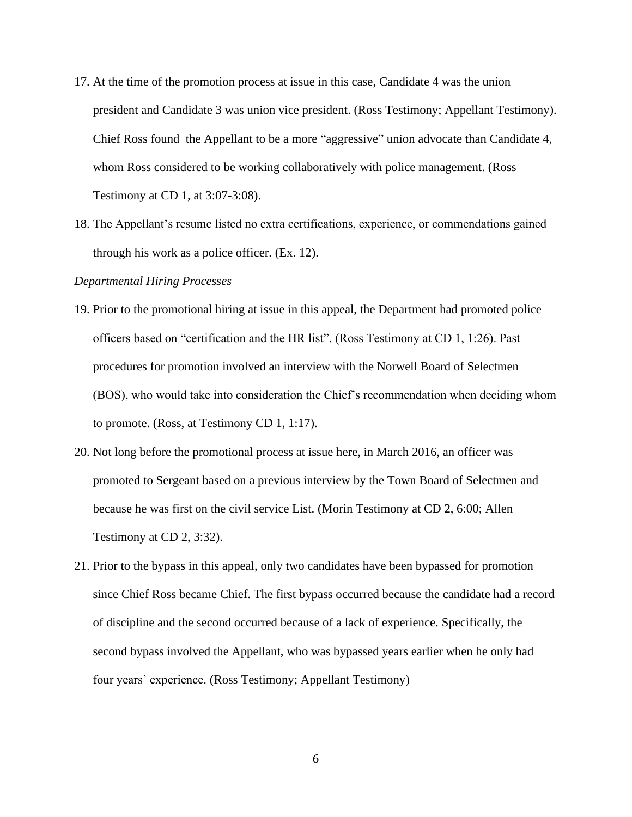- 17. At the time of the promotion process at issue in this case, Candidate 4 was the union president and Candidate 3 was union vice president. (Ross Testimony; Appellant Testimony). Chief Ross found the Appellant to be a more "aggressive" union advocate than Candidate 4, whom Ross considered to be working collaboratively with police management. (Ross Testimony at CD 1, at 3:07-3:08).
- 18. The Appellant's resume listed no extra certifications, experience, or commendations gained through his work as a police officer. (Ex. 12).

### *Departmental Hiring Processes*

- 19. Prior to the promotional hiring at issue in this appeal, the Department had promoted police officers based on "certification and the HR list". (Ross Testimony at CD 1, 1:26). Past procedures for promotion involved an interview with the Norwell Board of Selectmen (BOS), who would take into consideration the Chief's recommendation when deciding whom to promote. (Ross, at Testimony CD 1, 1:17).
- 20. Not long before the promotional process at issue here, in March 2016, an officer was promoted to Sergeant based on a previous interview by the Town Board of Selectmen and because he was first on the civil service List. (Morin Testimony at CD 2, 6:00; Allen Testimony at CD 2, 3:32).
- 21. Prior to the bypass in this appeal, only two candidates have been bypassed for promotion since Chief Ross became Chief. The first bypass occurred because the candidate had a record of discipline and the second occurred because of a lack of experience. Specifically, the second bypass involved the Appellant, who was bypassed years earlier when he only had four years' experience. (Ross Testimony; Appellant Testimony)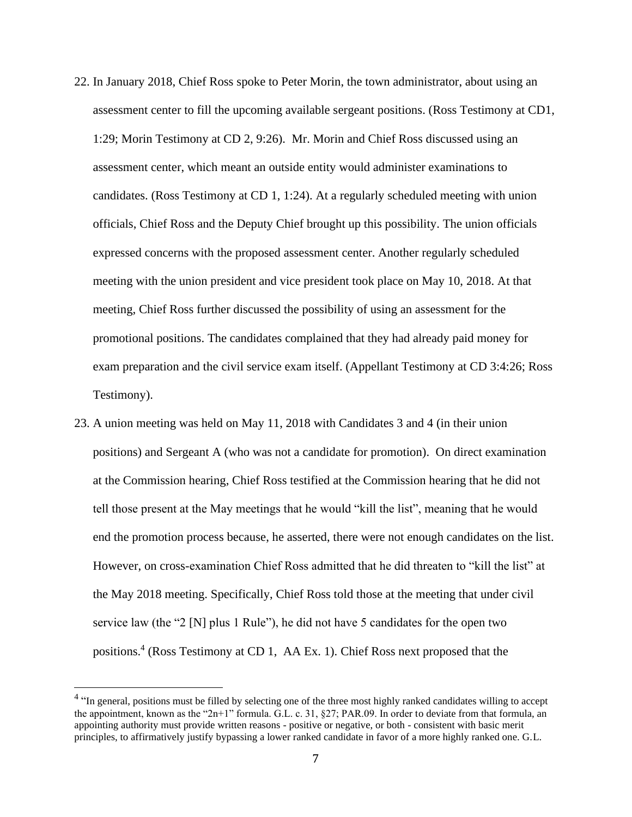- 22. In January 2018, Chief Ross spoke to Peter Morin, the town administrator, about using an assessment center to fill the upcoming available sergeant positions. (Ross Testimony at CD1, 1:29; Morin Testimony at CD 2, 9:26). Mr. Morin and Chief Ross discussed using an assessment center, which meant an outside entity would administer examinations to candidates. (Ross Testimony at CD 1, 1:24). At a regularly scheduled meeting with union officials, Chief Ross and the Deputy Chief brought up this possibility. The union officials expressed concerns with the proposed assessment center. Another regularly scheduled meeting with the union president and vice president took place on May 10, 2018. At that meeting, Chief Ross further discussed the possibility of using an assessment for the promotional positions. The candidates complained that they had already paid money for exam preparation and the civil service exam itself. (Appellant Testimony at CD 3:4:26; Ross Testimony).
- 23. A union meeting was held on May 11, 2018 with Candidates 3 and 4 (in their union positions) and Sergeant A (who was not a candidate for promotion). On direct examination at the Commission hearing, Chief Ross testified at the Commission hearing that he did not tell those present at the May meetings that he would "kill the list", meaning that he would end the promotion process because, he asserted, there were not enough candidates on the list. However, on cross-examination Chief Ross admitted that he did threaten to "kill the list" at the May 2018 meeting. Specifically, Chief Ross told those at the meeting that under civil service law (the "2 [N] plus 1 Rule"), he did not have 5 candidates for the open two positions.<sup>4</sup> (Ross Testimony at CD 1, AA Ex. 1). Chief Ross next proposed that the

<sup>&</sup>lt;sup>4</sup> "In general, positions must be filled by selecting one of the three most highly ranked candidates willing to accept the appointment, known as the "2n+1" formula. G.L. c. 31, §27; PAR.09. In order to deviate from that formula, an appointing authority must provide written reasons - positive or negative, or both - consistent with basic merit principles, to affirmatively justify bypassing a lower ranked candidate in favor of a more highly ranked one. G.L.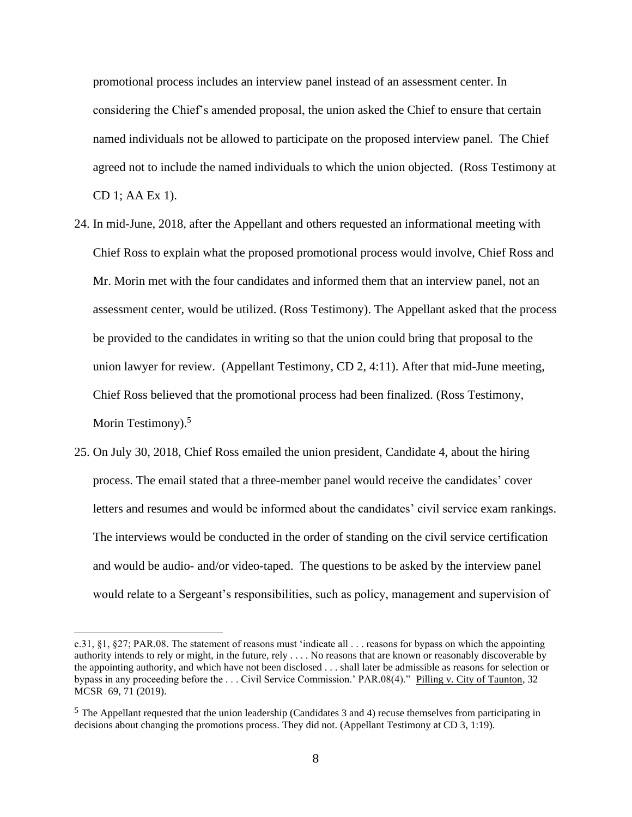promotional process includes an interview panel instead of an assessment center. In considering the Chief's amended proposal, the union asked the Chief to ensure that certain named individuals not be allowed to participate on the proposed interview panel. The Chief agreed not to include the named individuals to which the union objected. (Ross Testimony at CD 1; AA Ex 1).

- 24. In mid-June, 2018, after the Appellant and others requested an informational meeting with Chief Ross to explain what the proposed promotional process would involve, Chief Ross and Mr. Morin met with the four candidates and informed them that an interview panel, not an assessment center, would be utilized. (Ross Testimony). The Appellant asked that the process be provided to the candidates in writing so that the union could bring that proposal to the union lawyer for review. (Appellant Testimony, CD 2, 4:11). After that mid-June meeting, Chief Ross believed that the promotional process had been finalized. (Ross Testimony, Morin Testimony).<sup>5</sup>
- 25. On July 30, 2018, Chief Ross emailed the union president, Candidate 4, about the hiring process. The email stated that a three-member panel would receive the candidates' cover letters and resumes and would be informed about the candidates' civil service exam rankings. The interviews would be conducted in the order of standing on the civil service certification and would be audio- and/or video-taped. The questions to be asked by the interview panel would relate to a Sergeant's responsibilities, such as policy, management and supervision of

c.31, §1, §27; PAR.08. The statement of reasons must 'indicate all . . . reasons for bypass on which the appointing authority intends to rely or might, in the future, rely . . . . No reasons that are known or reasonably discoverable by the appointing authority, and which have not been disclosed . . . shall later be admissible as reasons for selection or bypass in any proceeding before the . . . Civil Service Commission.' PAR.08(4)." Pilling v. City of Taunton, 32 MCSR 69, 71 (2019).

<sup>5</sup> The Appellant requested that the union leadership (Candidates 3 and 4) recuse themselves from participating in decisions about changing the promotions process. They did not. (Appellant Testimony at CD 3, 1:19).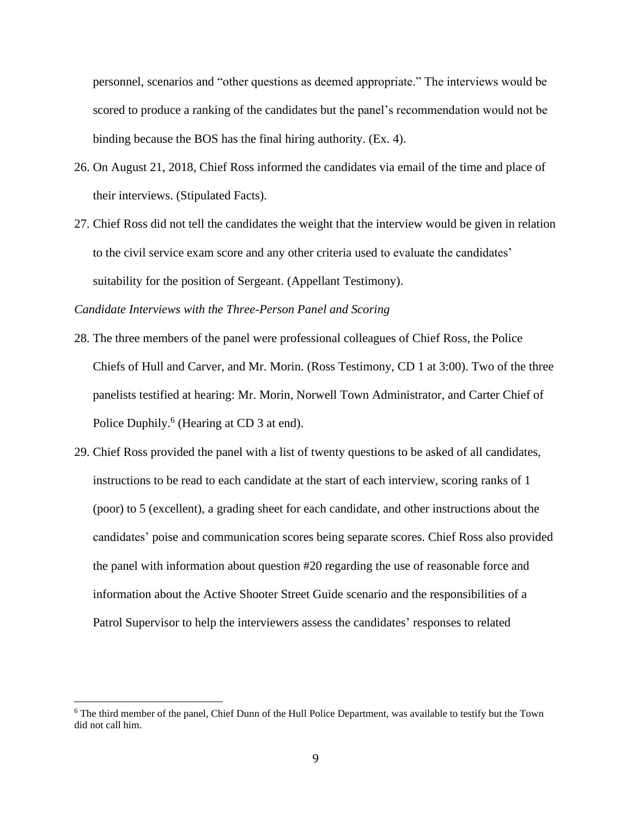personnel, scenarios and "other questions as deemed appropriate." The interviews would be scored to produce a ranking of the candidates but the panel's recommendation would not be binding because the BOS has the final hiring authority. (Ex. 4).

- 26. On August 21, 2018, Chief Ross informed the candidates via email of the time and place of their interviews. (Stipulated Facts).
- 27. Chief Ross did not tell the candidates the weight that the interview would be given in relation to the civil service exam score and any other criteria used to evaluate the candidates' suitability for the position of Sergeant. (Appellant Testimony).

*Candidate Interviews with the Three-Person Panel and Scoring*

- 28. The three members of the panel were professional colleagues of Chief Ross, the Police Chiefs of Hull and Carver, and Mr. Morin. (Ross Testimony, CD 1 at 3:00). Two of the three panelists testified at hearing: Mr. Morin, Norwell Town Administrator, and Carter Chief of Police Duphily.<sup>6</sup> (Hearing at CD 3 at end).
- 29. Chief Ross provided the panel with a list of twenty questions to be asked of all candidates, instructions to be read to each candidate at the start of each interview, scoring ranks of 1 (poor) to 5 (excellent), a grading sheet for each candidate, and other instructions about the candidates' poise and communication scores being separate scores. Chief Ross also provided the panel with information about question #20 regarding the use of reasonable force and information about the Active Shooter Street Guide scenario and the responsibilities of a Patrol Supervisor to help the interviewers assess the candidates' responses to related

<sup>6</sup> The third member of the panel, Chief Dunn of the Hull Police Department, was available to testify but the Town did not call him.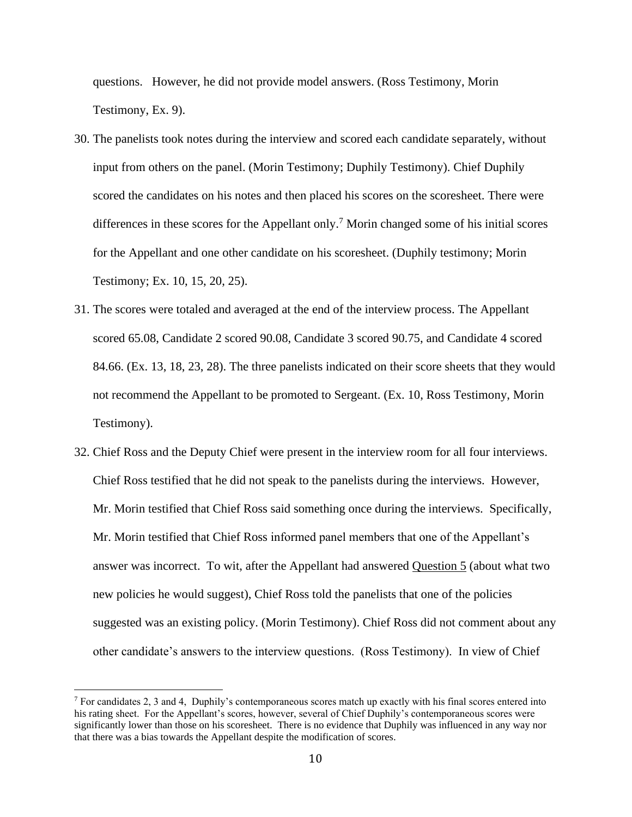questions. However, he did not provide model answers. (Ross Testimony, Morin Testimony, Ex. 9).

- 30. The panelists took notes during the interview and scored each candidate separately, without input from others on the panel. (Morin Testimony; Duphily Testimony). Chief Duphily scored the candidates on his notes and then placed his scores on the scoresheet. There were differences in these scores for the Appellant only.<sup>7</sup> Morin changed some of his initial scores for the Appellant and one other candidate on his scoresheet. (Duphily testimony; Morin Testimony; Ex. 10, 15, 20, 25).
- 31. The scores were totaled and averaged at the end of the interview process. The Appellant scored 65.08, Candidate 2 scored 90.08, Candidate 3 scored 90.75, and Candidate 4 scored 84.66. (Ex. 13, 18, 23, 28). The three panelists indicated on their score sheets that they would not recommend the Appellant to be promoted to Sergeant. (Ex. 10, Ross Testimony, Morin Testimony).
- 32. Chief Ross and the Deputy Chief were present in the interview room for all four interviews. Chief Ross testified that he did not speak to the panelists during the interviews. However, Mr. Morin testified that Chief Ross said something once during the interviews. Specifically, Mr. Morin testified that Chief Ross informed panel members that one of the Appellant's answer was incorrect. To wit, after the Appellant had answered Question 5 (about what two new policies he would suggest), Chief Ross told the panelists that one of the policies suggested was an existing policy. (Morin Testimony). Chief Ross did not comment about any other candidate's answers to the interview questions. (Ross Testimony). In view of Chief

 $<sup>7</sup>$  For candidates 2, 3 and 4, Duphily's contemporaneous scores match up exactly with his final scores entered into</sup> his rating sheet. For the Appellant's scores, however, several of Chief Duphily's contemporaneous scores were significantly lower than those on his scoresheet. There is no evidence that Duphily was influenced in any way nor that there was a bias towards the Appellant despite the modification of scores.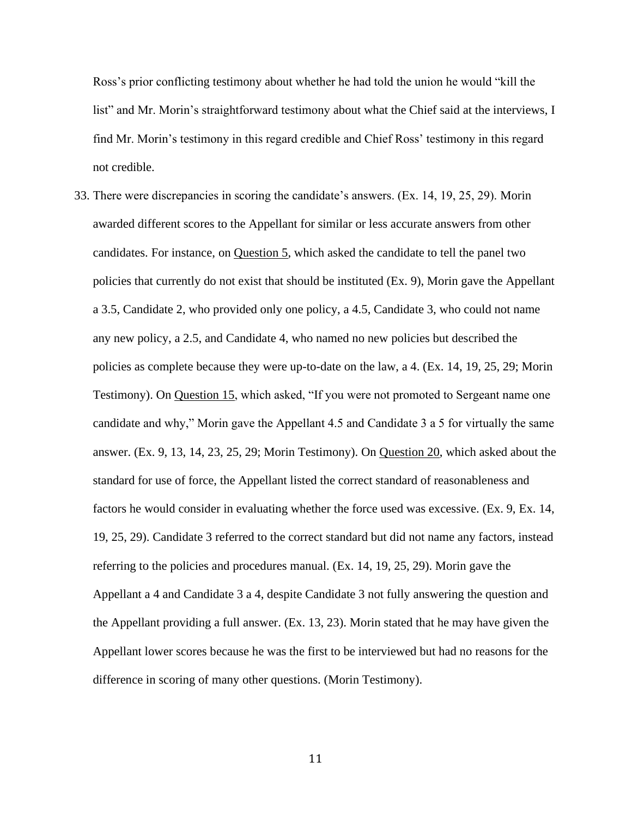Ross's prior conflicting testimony about whether he had told the union he would "kill the list" and Mr. Morin's straightforward testimony about what the Chief said at the interviews, I find Mr. Morin's testimony in this regard credible and Chief Ross' testimony in this regard not credible.

33. There were discrepancies in scoring the candidate's answers. (Ex. 14, 19, 25, 29). Morin awarded different scores to the Appellant for similar or less accurate answers from other candidates. For instance, on Question 5, which asked the candidate to tell the panel two policies that currently do not exist that should be instituted (Ex. 9), Morin gave the Appellant a 3.5, Candidate 2, who provided only one policy, a 4.5, Candidate 3, who could not name any new policy, a 2.5, and Candidate 4, who named no new policies but described the policies as complete because they were up-to-date on the law, a 4. (Ex. 14, 19, 25, 29; Morin Testimony). On Question 15, which asked, "If you were not promoted to Sergeant name one candidate and why," Morin gave the Appellant 4.5 and Candidate 3 a 5 for virtually the same answer. (Ex. 9, 13, 14, 23, 25, 29; Morin Testimony). On Question 20, which asked about the standard for use of force, the Appellant listed the correct standard of reasonableness and factors he would consider in evaluating whether the force used was excessive. (Ex. 9, Ex. 14, 19, 25, 29). Candidate 3 referred to the correct standard but did not name any factors, instead referring to the policies and procedures manual. (Ex. 14, 19, 25, 29). Morin gave the Appellant a 4 and Candidate 3 a 4, despite Candidate 3 not fully answering the question and the Appellant providing a full answer. (Ex. 13, 23). Morin stated that he may have given the Appellant lower scores because he was the first to be interviewed but had no reasons for the difference in scoring of many other questions. (Morin Testimony).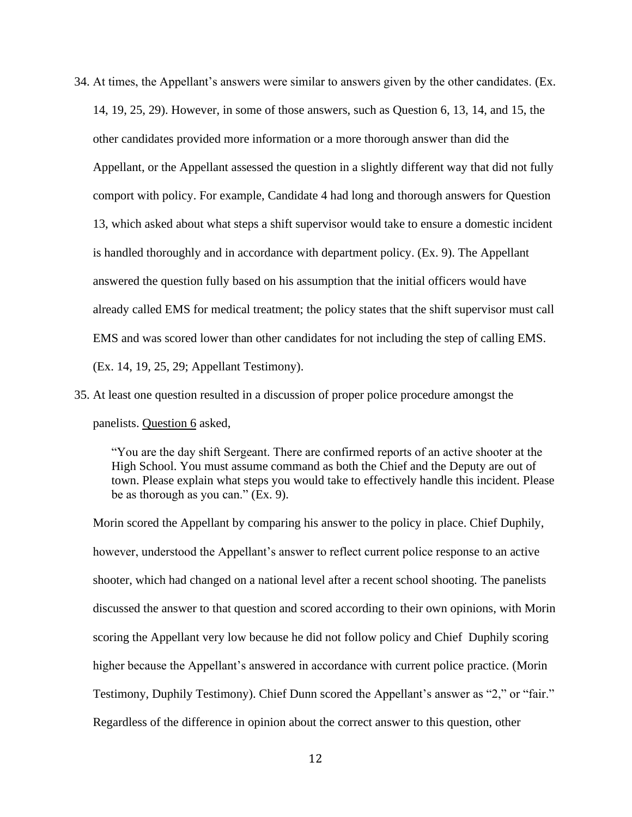- 34. At times, the Appellant's answers were similar to answers given by the other candidates. (Ex. 14, 19, 25, 29). However, in some of those answers, such as Question 6, 13, 14, and 15, the other candidates provided more information or a more thorough answer than did the Appellant, or the Appellant assessed the question in a slightly different way that did not fully comport with policy. For example, Candidate 4 had long and thorough answers for Question 13, which asked about what steps a shift supervisor would take to ensure a domestic incident is handled thoroughly and in accordance with department policy. (Ex. 9). The Appellant answered the question fully based on his assumption that the initial officers would have already called EMS for medical treatment; the policy states that the shift supervisor must call EMS and was scored lower than other candidates for not including the step of calling EMS. (Ex. 14, 19, 25, 29; Appellant Testimony).
- 35. At least one question resulted in a discussion of proper police procedure amongst the panelists. Question 6 asked,

"You are the day shift Sergeant. There are confirmed reports of an active shooter at the High School. You must assume command as both the Chief and the Deputy are out of town. Please explain what steps you would take to effectively handle this incident. Please be as thorough as you can." (Ex. 9).

Morin scored the Appellant by comparing his answer to the policy in place. Chief Duphily, however, understood the Appellant's answer to reflect current police response to an active shooter, which had changed on a national level after a recent school shooting. The panelists discussed the answer to that question and scored according to their own opinions, with Morin scoring the Appellant very low because he did not follow policy and Chief Duphily scoring higher because the Appellant's answered in accordance with current police practice. (Morin Testimony, Duphily Testimony). Chief Dunn scored the Appellant's answer as "2," or "fair." Regardless of the difference in opinion about the correct answer to this question, other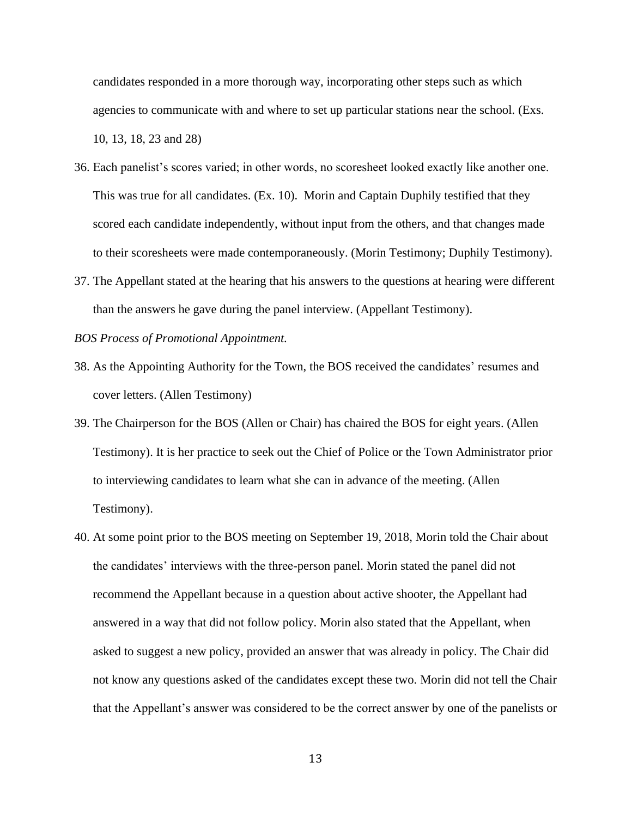candidates responded in a more thorough way, incorporating other steps such as which agencies to communicate with and where to set up particular stations near the school. (Exs. 10, 13, 18, 23 and 28)

- 36. Each panelist's scores varied; in other words, no scoresheet looked exactly like another one. This was true for all candidates. (Ex. 10). Morin and Captain Duphily testified that they scored each candidate independently, without input from the others, and that changes made to their scoresheets were made contemporaneously. (Morin Testimony; Duphily Testimony).
- 37. The Appellant stated at the hearing that his answers to the questions at hearing were different than the answers he gave during the panel interview. (Appellant Testimony).

#### *BOS Process of Promotional Appointment.*

- 38. As the Appointing Authority for the Town, the BOS received the candidates' resumes and cover letters. (Allen Testimony)
- 39. The Chairperson for the BOS (Allen or Chair) has chaired the BOS for eight years. (Allen Testimony). It is her practice to seek out the Chief of Police or the Town Administrator prior to interviewing candidates to learn what she can in advance of the meeting. (Allen Testimony).
- 40. At some point prior to the BOS meeting on September 19, 2018, Morin told the Chair about the candidates' interviews with the three-person panel. Morin stated the panel did not recommend the Appellant because in a question about active shooter, the Appellant had answered in a way that did not follow policy. Morin also stated that the Appellant, when asked to suggest a new policy, provided an answer that was already in policy. The Chair did not know any questions asked of the candidates except these two. Morin did not tell the Chair that the Appellant's answer was considered to be the correct answer by one of the panelists or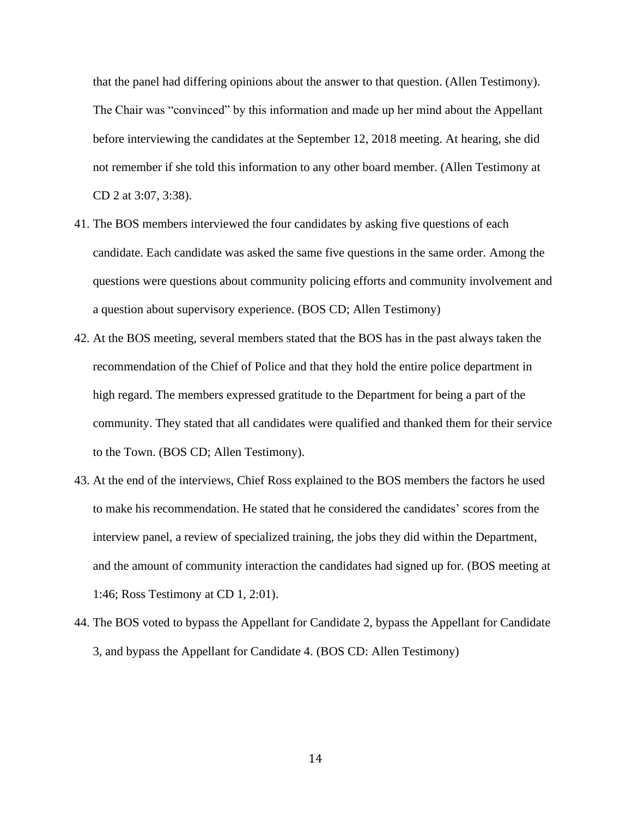that the panel had differing opinions about the answer to that question. (Allen Testimony). The Chair was "convinced" by this information and made up her mind about the Appellant before interviewing the candidates at the September 12, 2018 meeting. At hearing, she did not remember if she told this information to any other board member. (Allen Testimony at CD 2 at 3:07, 3:38).

- 41. The BOS members interviewed the four candidates by asking five questions of each candidate. Each candidate was asked the same five questions in the same order. Among the questions were questions about community policing efforts and community involvement and a question about supervisory experience. (BOS CD; Allen Testimony)
- 42. At the BOS meeting, several members stated that the BOS has in the past always taken the recommendation of the Chief of Police and that they hold the entire police department in high regard. The members expressed gratitude to the Department for being a part of the community. They stated that all candidates were qualified and thanked them for their service to the Town. (BOS CD; Allen Testimony).
- 43. At the end of the interviews, Chief Ross explained to the BOS members the factors he used to make his recommendation. He stated that he considered the candidates' scores from the interview panel, a review of specialized training, the jobs they did within the Department, and the amount of community interaction the candidates had signed up for. (BOS meeting at 1:46; Ross Testimony at CD 1, 2:01).
- 44. The BOS voted to bypass the Appellant for Candidate 2, bypass the Appellant for Candidate 3, and bypass the Appellant for Candidate 4. (BOS CD: Allen Testimony)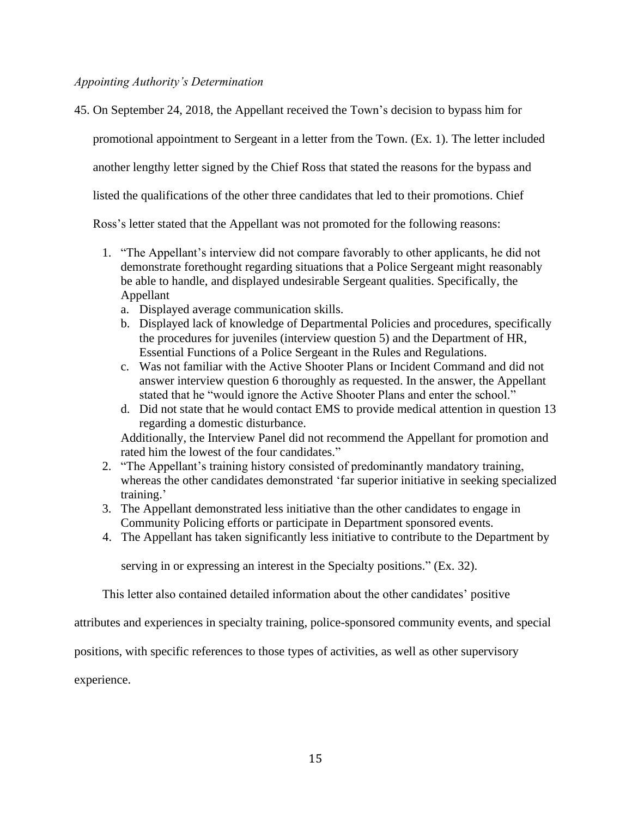# *Appointing Authority's Determination*

45. On September 24, 2018, the Appellant received the Town's decision to bypass him for

promotional appointment to Sergeant in a letter from the Town. (Ex. 1). The letter included

another lengthy letter signed by the Chief Ross that stated the reasons for the bypass and

listed the qualifications of the other three candidates that led to their promotions. Chief

Ross's letter stated that the Appellant was not promoted for the following reasons:

- 1. "The Appellant's interview did not compare favorably to other applicants, he did not demonstrate forethought regarding situations that a Police Sergeant might reasonably be able to handle, and displayed undesirable Sergeant qualities. Specifically, the Appellant
	- a. Displayed average communication skills.
	- b. Displayed lack of knowledge of Departmental Policies and procedures, specifically the procedures for juveniles (interview question 5) and the Department of HR, Essential Functions of a Police Sergeant in the Rules and Regulations.
	- c. Was not familiar with the Active Shooter Plans or Incident Command and did not answer interview question 6 thoroughly as requested. In the answer, the Appellant stated that he "would ignore the Active Shooter Plans and enter the school."
	- d. Did not state that he would contact EMS to provide medical attention in question 13 regarding a domestic disturbance.

Additionally, the Interview Panel did not recommend the Appellant for promotion and rated him the lowest of the four candidates."

- 2. "The Appellant's training history consisted of predominantly mandatory training, whereas the other candidates demonstrated 'far superior initiative in seeking specialized training.'
- 3. The Appellant demonstrated less initiative than the other candidates to engage in Community Policing efforts or participate in Department sponsored events.
- 4. The Appellant has taken significantly less initiative to contribute to the Department by

serving in or expressing an interest in the Specialty positions." (Ex. 32).

This letter also contained detailed information about the other candidates' positive

attributes and experiences in specialty training, police-sponsored community events, and special

positions, with specific references to those types of activities, as well as other supervisory

experience.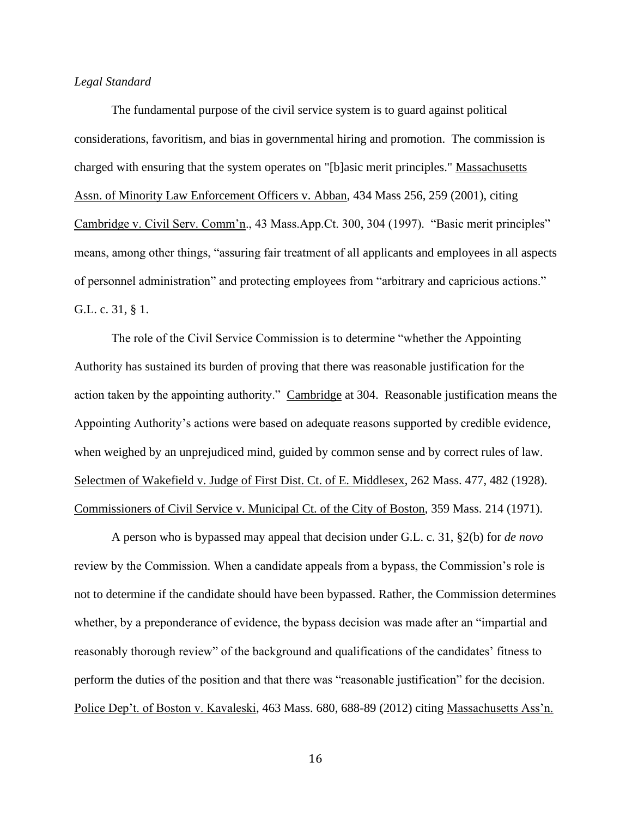## *Legal Standard*

The fundamental purpose of the civil service system is to guard against political considerations, favoritism, and bias in governmental hiring and promotion. The commission is charged with ensuring that the system operates on "[b]asic merit principles." Massachusetts Assn. of Minority Law Enforcement Officers v. Abban, 434 Mass 256, 259 (2001), citing Cambridge v. Civil Serv. Comm'n., 43 Mass.App.Ct. 300, 304 (1997). "Basic merit principles" means, among other things, "assuring fair treatment of all applicants and employees in all aspects of personnel administration" and protecting employees from "arbitrary and capricious actions." G.L. c. 31, § 1.

 The role of the Civil Service Commission is to determine "whether the Appointing Authority has sustained its burden of proving that there was reasonable justification for the action taken by the appointing authority." Cambridge at 304. Reasonable justification means the Appointing Authority's actions were based on adequate reasons supported by credible evidence, when weighed by an unprejudiced mind, guided by common sense and by correct rules of law. Selectmen of Wakefield v. Judge of First Dist. Ct. of E. Middlesex, 262 Mass. 477, 482 (1928). Commissioners of Civil Service v. Municipal Ct. of the City of Boston, 359 Mass. 214 (1971).

A person who is bypassed may appeal that decision under G.L. c. 31, §2(b) for *de novo* review by the Commission. When a candidate appeals from a bypass, the Commission's role is not to determine if the candidate should have been bypassed. Rather, the Commission determines whether, by a preponderance of evidence, the bypass decision was made after an "impartial and reasonably thorough review" of the background and qualifications of the candidates' fitness to perform the duties of the position and that there was "reasonable justification" for the decision. Police Dep't. of Boston v. Kavaleski, 463 Mass. 680, 688-89 (2012) citing Massachusetts Ass'n.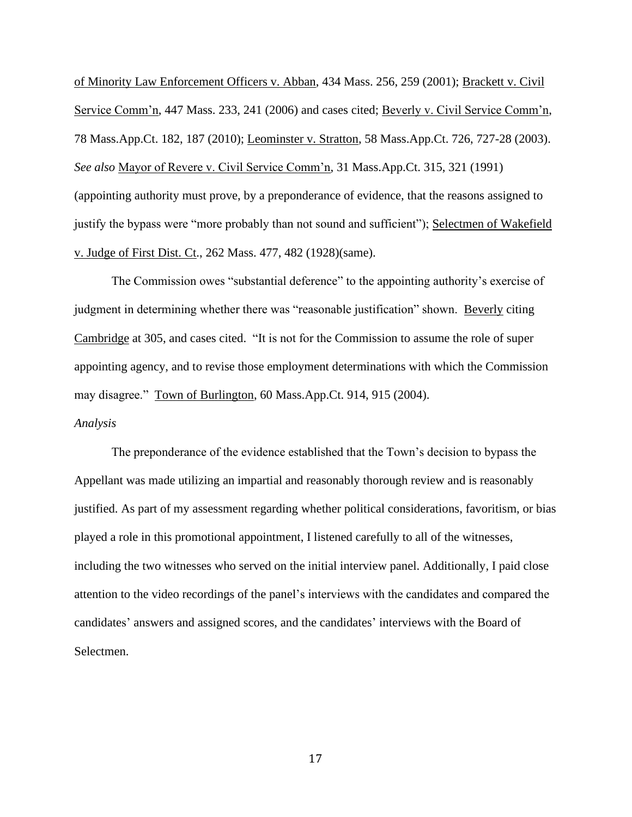of Minority Law Enforcement Officers v. Abban, 434 Mass. 256, 259 (2001); Brackett v. Civil Service Comm'n, 447 Mass. 233, 241 (2006) and cases cited; Beverly v. Civil Service Comm'n, 78 Mass.App.Ct. 182, 187 (2010); Leominster v. Stratton, 58 Mass.App.Ct. 726, 727-28 (2003). *See also* Mayor of Revere v. Civil Service Comm'n, 31 Mass.App.Ct. 315, 321 (1991) (appointing authority must prove, by a preponderance of evidence, that the reasons assigned to justify the bypass were "more probably than not sound and sufficient"); Selectmen of Wakefield v. Judge of First Dist. Ct., 262 Mass. 477, 482 (1928)(same).

The Commission owes "substantial deference" to the appointing authority's exercise of judgment in determining whether there was "reasonable justification" shown. Beverly citing Cambridge at 305, and cases cited. "It is not for the Commission to assume the role of super appointing agency, and to revise those employment determinations with which the Commission may disagree." Town of Burlington, 60 Mass.App.Ct. 914, 915 (2004).

# *Analysis*

The preponderance of the evidence established that the Town's decision to bypass the Appellant was made utilizing an impartial and reasonably thorough review and is reasonably justified. As part of my assessment regarding whether political considerations, favoritism, or bias played a role in this promotional appointment, I listened carefully to all of the witnesses, including the two witnesses who served on the initial interview panel. Additionally, I paid close attention to the video recordings of the panel's interviews with the candidates and compared the candidates' answers and assigned scores, and the candidates' interviews with the Board of Selectmen.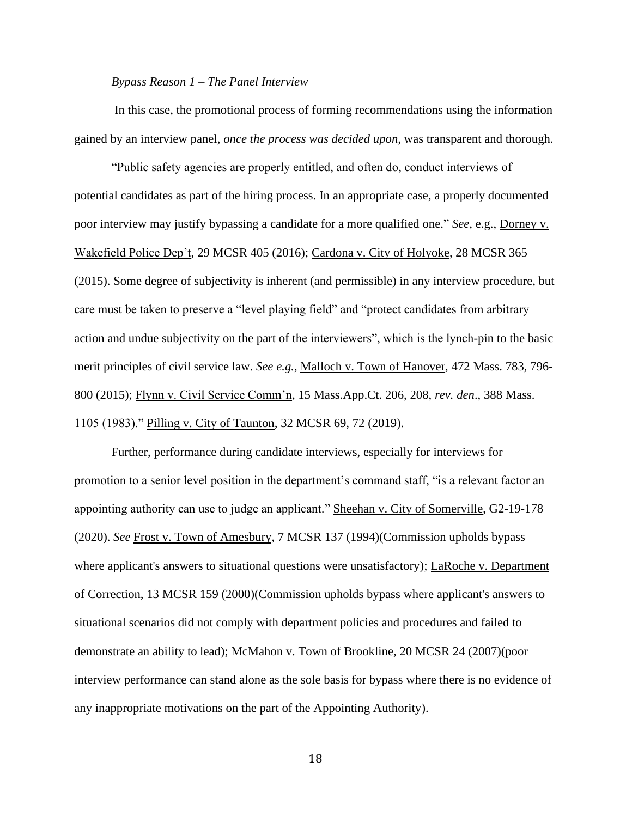### *Bypass Reason 1 – The Panel Interview*

In this case, the promotional process of forming recommendations using the information gained by an interview panel, *once the process was decided upon,* was transparent and thorough.

"Public safety agencies are properly entitled, and often do, conduct interviews of potential candidates as part of the hiring process. In an appropriate case, a properly documented poor interview may justify bypassing a candidate for a more qualified one." *See,* e.g., Dorney v. Wakefield Police Dep't, 29 MCSR 405 (2016); Cardona v. City of Holyoke, 28 MCSR 365 (2015). Some degree of subjectivity is inherent (and permissible) in any interview procedure, but care must be taken to preserve a "level playing field" and "protect candidates from arbitrary action and undue subjectivity on the part of the interviewers", which is the lynch-pin to the basic merit principles of civil service law. *See e.g.*, Malloch v. Town of Hanover, 472 Mass. 783, 796- 800 (2015); Flynn v. Civil Service Comm'n, 15 Mass.App.Ct. 206, 208, *rev. den*., 388 Mass. 1105 (1983)." Pilling v. City of Taunton, 32 MCSR 69, 72 (2019).

Further, performance during candidate interviews, especially for interviews for promotion to a senior level position in the department's command staff, "is a relevant factor an appointing authority can use to judge an applicant." Sheehan v. City of Somerville, G2-19-178 (2020). *See* Frost v. Town of Amesbury, 7 MCSR 137 (1994)(Commission upholds bypass where applicant's answers to situational questions were unsatisfactory); LaRoche v. Department of Correction, 13 MCSR 159 (2000)(Commission upholds bypass where applicant's answers to situational scenarios did not comply with department policies and procedures and failed to demonstrate an ability to lead); McMahon v. Town of Brookline*,* 20 MCSR 24 (2007)(poor interview performance can stand alone as the sole basis for bypass where there is no evidence of any inappropriate motivations on the part of the Appointing Authority).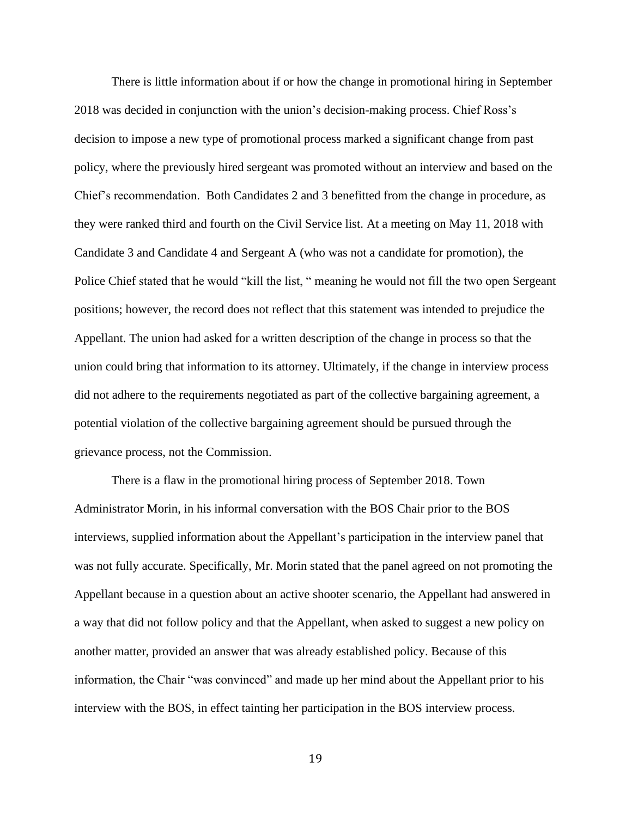There is little information about if or how the change in promotional hiring in September 2018 was decided in conjunction with the union's decision-making process. Chief Ross's decision to impose a new type of promotional process marked a significant change from past policy, where the previously hired sergeant was promoted without an interview and based on the Chief's recommendation. Both Candidates 2 and 3 benefitted from the change in procedure, as they were ranked third and fourth on the Civil Service list. At a meeting on May 11, 2018 with Candidate 3 and Candidate 4 and Sergeant A (who was not a candidate for promotion), the Police Chief stated that he would "kill the list, " meaning he would not fill the two open Sergeant positions; however, the record does not reflect that this statement was intended to prejudice the Appellant. The union had asked for a written description of the change in process so that the union could bring that information to its attorney. Ultimately, if the change in interview process did not adhere to the requirements negotiated as part of the collective bargaining agreement, a potential violation of the collective bargaining agreement should be pursued through the grievance process, not the Commission.

There is a flaw in the promotional hiring process of September 2018. Town Administrator Morin, in his informal conversation with the BOS Chair prior to the BOS interviews, supplied information about the Appellant's participation in the interview panel that was not fully accurate. Specifically, Mr. Morin stated that the panel agreed on not promoting the Appellant because in a question about an active shooter scenario, the Appellant had answered in a way that did not follow policy and that the Appellant, when asked to suggest a new policy on another matter, provided an answer that was already established policy. Because of this information, the Chair "was convinced" and made up her mind about the Appellant prior to his interview with the BOS, in effect tainting her participation in the BOS interview process.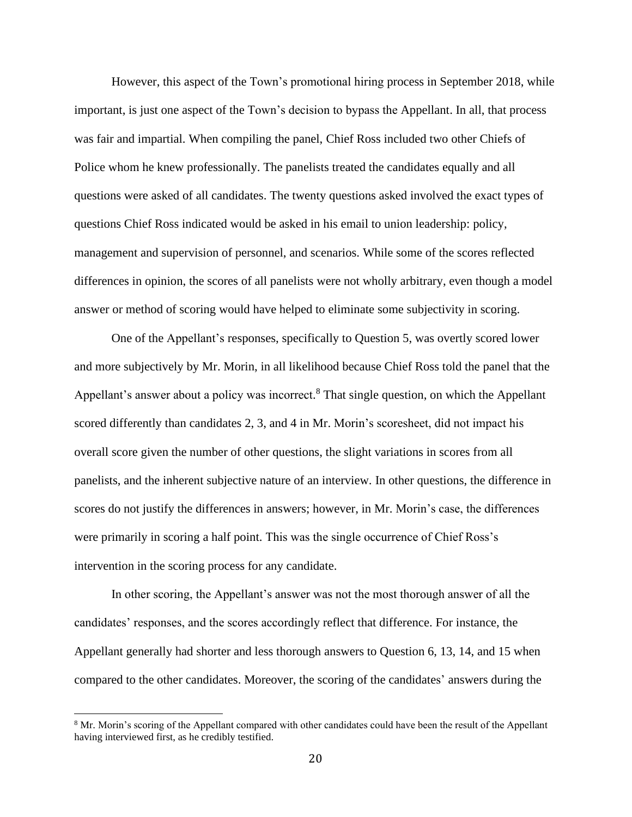However, this aspect of the Town's promotional hiring process in September 2018, while important, is just one aspect of the Town's decision to bypass the Appellant. In all, that process was fair and impartial. When compiling the panel, Chief Ross included two other Chiefs of Police whom he knew professionally. The panelists treated the candidates equally and all questions were asked of all candidates. The twenty questions asked involved the exact types of questions Chief Ross indicated would be asked in his email to union leadership: policy, management and supervision of personnel, and scenarios. While some of the scores reflected differences in opinion, the scores of all panelists were not wholly arbitrary, even though a model answer or method of scoring would have helped to eliminate some subjectivity in scoring.

One of the Appellant's responses, specifically to Question 5, was overtly scored lower and more subjectively by Mr. Morin, in all likelihood because Chief Ross told the panel that the Appellant's answer about a policy was incorrect.<sup>8</sup> That single question, on which the Appellant scored differently than candidates 2, 3, and 4 in Mr. Morin's scoresheet, did not impact his overall score given the number of other questions, the slight variations in scores from all panelists, and the inherent subjective nature of an interview. In other questions, the difference in scores do not justify the differences in answers; however, in Mr. Morin's case, the differences were primarily in scoring a half point. This was the single occurrence of Chief Ross's intervention in the scoring process for any candidate.

In other scoring, the Appellant's answer was not the most thorough answer of all the candidates' responses, and the scores accordingly reflect that difference. For instance, the Appellant generally had shorter and less thorough answers to Question 6, 13, 14, and 15 when compared to the other candidates. Moreover, the scoring of the candidates' answers during the

<sup>&</sup>lt;sup>8</sup> Mr. Morin's scoring of the Appellant compared with other candidates could have been the result of the Appellant having interviewed first, as he credibly testified.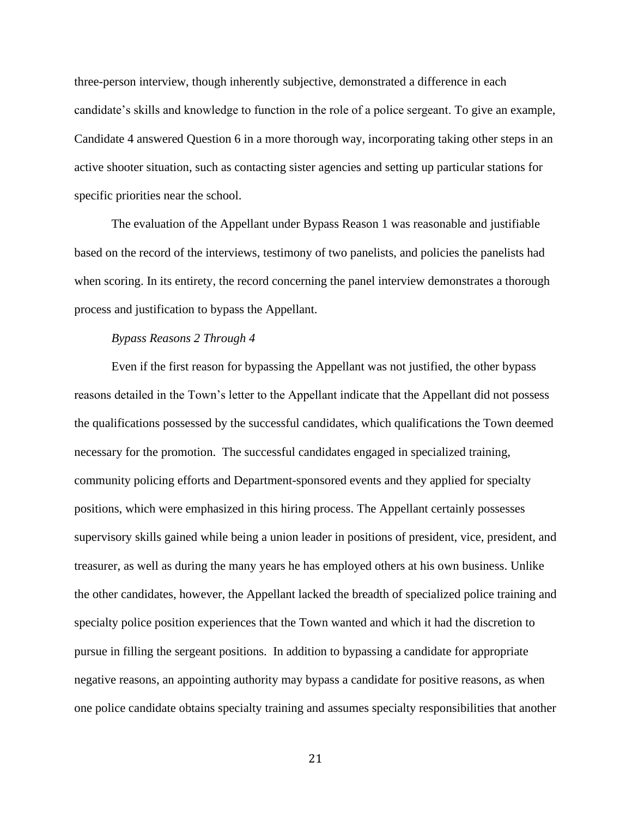three-person interview, though inherently subjective, demonstrated a difference in each candidate's skills and knowledge to function in the role of a police sergeant. To give an example, Candidate 4 answered Question 6 in a more thorough way, incorporating taking other steps in an active shooter situation, such as contacting sister agencies and setting up particular stations for specific priorities near the school.

The evaluation of the Appellant under Bypass Reason 1 was reasonable and justifiable based on the record of the interviews, testimony of two panelists, and policies the panelists had when scoring. In its entirety, the record concerning the panel interview demonstrates a thorough process and justification to bypass the Appellant.

#### *Bypass Reasons 2 Through 4*

Even if the first reason for bypassing the Appellant was not justified, the other bypass reasons detailed in the Town's letter to the Appellant indicate that the Appellant did not possess the qualifications possessed by the successful candidates, which qualifications the Town deemed necessary for the promotion. The successful candidates engaged in specialized training, community policing efforts and Department-sponsored events and they applied for specialty positions, which were emphasized in this hiring process. The Appellant certainly possesses supervisory skills gained while being a union leader in positions of president, vice, president, and treasurer, as well as during the many years he has employed others at his own business. Unlike the other candidates, however, the Appellant lacked the breadth of specialized police training and specialty police position experiences that the Town wanted and which it had the discretion to pursue in filling the sergeant positions. In addition to bypassing a candidate for appropriate negative reasons, an appointing authority may bypass a candidate for positive reasons, as when one police candidate obtains specialty training and assumes specialty responsibilities that another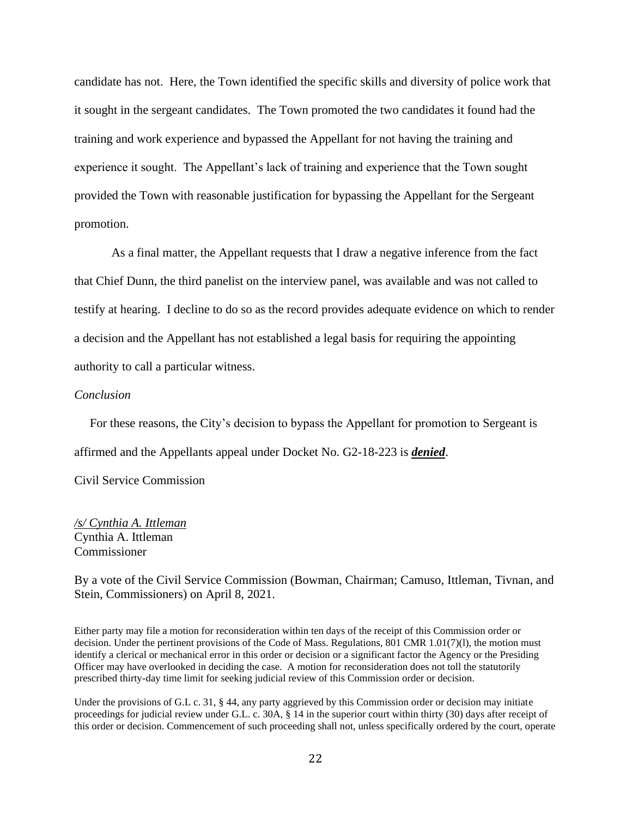candidate has not. Here, the Town identified the specific skills and diversity of police work that it sought in the sergeant candidates. The Town promoted the two candidates it found had the training and work experience and bypassed the Appellant for not having the training and experience it sought. The Appellant's lack of training and experience that the Town sought provided the Town with reasonable justification for bypassing the Appellant for the Sergeant promotion.

As a final matter, the Appellant requests that I draw a negative inference from the fact that Chief Dunn, the third panelist on the interview panel, was available and was not called to testify at hearing. I decline to do so as the record provides adequate evidence on which to render a decision and the Appellant has not established a legal basis for requiring the appointing authority to call a particular witness.

## *Conclusion*

 For these reasons, the City's decision to bypass the Appellant for promotion to Sergeant is affirmed and the Appellants appeal under Docket No. G2-18-223 is *denied*.

Civil Service Commission

*/s/ Cynthia A. Ittleman* Cynthia A. Ittleman Commissioner

By a vote of the Civil Service Commission (Bowman, Chairman; Camuso, Ittleman, Tivnan, and Stein, Commissioners) on April 8, 2021.

Either party may file a motion for reconsideration within ten days of the receipt of this Commission order or decision. Under the pertinent provisions of the Code of Mass. Regulations, 801 CMR 1.01(7)(l), the motion must identify a clerical or mechanical error in this order or decision or a significant factor the Agency or the Presiding Officer may have overlooked in deciding the case. A motion for reconsideration does not toll the statutorily prescribed thirty-day time limit for seeking judicial review of this Commission order or decision.

Under the provisions of G.L c. 31, § 44, any party aggrieved by this Commission order or decision may initiate proceedings for judicial review under G.L. c. 30A, § 14 in the superior court within thirty (30) days after receipt of this order or decision. Commencement of such proceeding shall not, unless specifically ordered by the court, operate